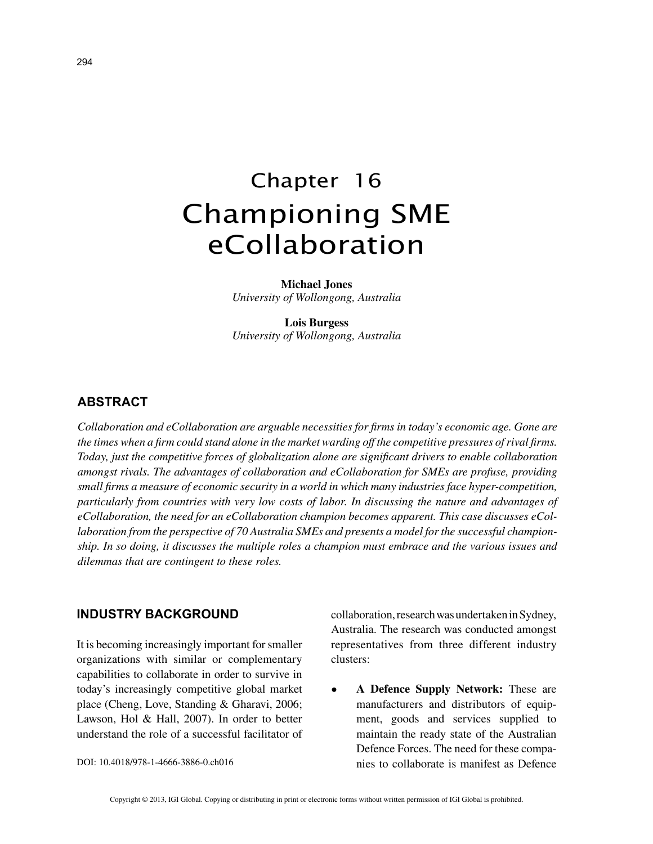# Chapter 16 Championing SME eCollaboration

**Michael Jones** *University of Wollongong, Australia*

**Lois Burgess** *University of Wollongong, Australia*

# **ABSTRACT**

*Collaboration and eCollaboration are arguable necessities for firms in today's economic age. Gone are the times when a firm could stand alone in the market warding off the competitive pressures of rival firms. Today, just the competitive forces of globalization alone are significant drivers to enable collaboration amongst rivals. The advantages of collaboration and eCollaboration for SMEs are profuse, providing small firms a measure of economic security in a world in which many industries face hyper-competition, particularly from countries with very low costs of labor. In discussing the nature and advantages of eCollaboration, the need for an eCollaboration champion becomes apparent. This case discusses eCollaboration from the perspective of 70 Australia SMEs and presents a model for the successful championship. In so doing, it discusses the multiple roles a champion must embrace and the various issues and dilemmas that are contingent to these roles.*

## **INDUSTRY BACKGROUND**

It is becoming increasingly important for smaller organizations with similar or complementary capabilities to collaborate in order to survive in today's increasingly competitive global market place (Cheng, Love, Standing & Gharavi, 2006; Lawson, Hol & Hall, 2007). In order to better understand the role of a successful facilitator of

DOI: 10.4018/978-1-4666-3886-0.ch016

collaboration, research was undertaken in Sydney, Australia. The research was conducted amongst representatives from three different industry clusters:

• **A Defence Supply Network:** These are manufacturers and distributors of equipment, goods and services supplied to maintain the ready state of the Australian Defence Forces. The need for these companies to collaborate is manifest as Defence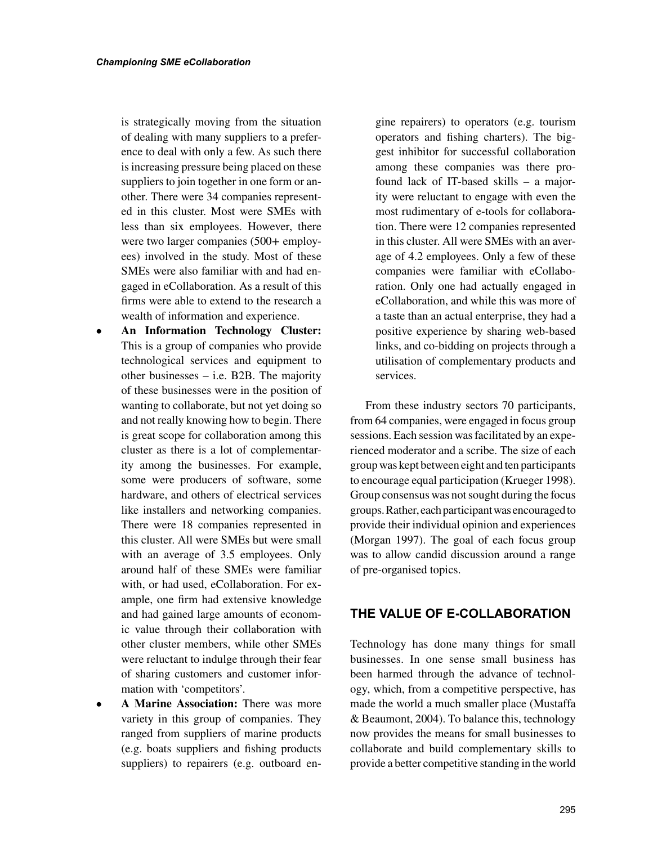is strategically moving from the situation of dealing with many suppliers to a preference to deal with only a few. As such there is increasing pressure being placed on these suppliers to join together in one form or another. There were 34 companies represented in this cluster. Most were SMEs with less than six employees. However, there were two larger companies (500+ employees) involved in the study. Most of these SMEs were also familiar with and had engaged in eCollaboration. As a result of this firms were able to extend to the research a wealth of information and experience.

- **An Information Technology Cluster:** This is a group of companies who provide technological services and equipment to other businesses – i.e. B2B. The majority of these businesses were in the position of wanting to collaborate, but not yet doing so and not really knowing how to begin. There is great scope for collaboration among this cluster as there is a lot of complementarity among the businesses. For example, some were producers of software, some hardware, and others of electrical services like installers and networking companies. There were 18 companies represented in this cluster. All were SMEs but were small with an average of 3.5 employees. Only around half of these SMEs were familiar with, or had used, eCollaboration. For example, one firm had extensive knowledge and had gained large amounts of economic value through their collaboration with other cluster members, while other SMEs were reluctant to indulge through their fear of sharing customers and customer information with 'competitors'.
- **A Marine Association:** There was more variety in this group of companies. They ranged from suppliers of marine products (e.g. boats suppliers and fishing products suppliers) to repairers (e.g. outboard en-

gine repairers) to operators (e.g. tourism operators and fishing charters). The biggest inhibitor for successful collaboration among these companies was there profound lack of IT-based skills – a majority were reluctant to engage with even the most rudimentary of e-tools for collaboration. There were 12 companies represented in this cluster. All were SMEs with an average of 4.2 employees. Only a few of these companies were familiar with eCollaboration. Only one had actually engaged in eCollaboration, and while this was more of a taste than an actual enterprise, they had a positive experience by sharing web-based links, and co-bidding on projects through a utilisation of complementary products and services.

From these industry sectors 70 participants, from 64 companies, were engaged in focus group sessions. Each session was facilitated by an experienced moderator and a scribe. The size of each group was kept between eight and ten participants to encourage equal participation (Krueger 1998). Group consensus was not sought during the focus groups. Rather, each participant was encouraged to provide their individual opinion and experiences (Morgan 1997). The goal of each focus group was to allow candid discussion around a range of pre-organised topics.

## **THE VALUE OF E-COLLABORATION**

Technology has done many things for small businesses. In one sense small business has been harmed through the advance of technology, which, from a competitive perspective, has made the world a much smaller place (Mustaffa & Beaumont, 2004). To balance this, technology now provides the means for small businesses to collaborate and build complementary skills to provide a better competitive standing in the world